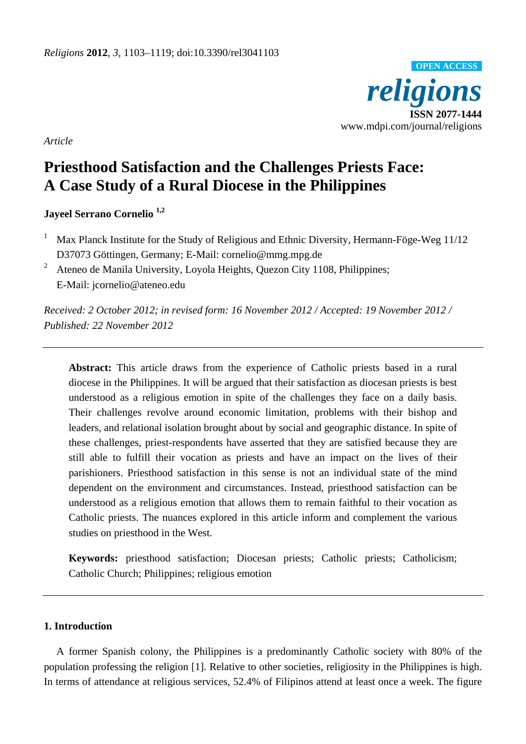

*Article* 

# **Priesthood Satisfaction and the Challenges Priests Face: A Case Study of a Rural Diocese in the Philippines**

**Jayeel Serrano Cornelio 1,2**

- 1 Max Planck Institute for the Study of Religious and Ethnic Diversity, Hermann-Föge-Weg 11/12 D37073 Göttingen, Germany; E-Mail: cornelio@mmg.mpg.de
- 2 Ateneo de Manila University, Loyola Heights, Quezon City 1108, Philippines; E-Mail: jcornelio@ateneo.edu

*Received: 2 October 2012; in revised form: 16 November 2012 / Accepted: 19 November 2012 / Published: 22 November 2012*

**Abstract:** This article draws from the experience of Catholic priests based in a rural diocese in the Philippines. It will be argued that their satisfaction as diocesan priests is best understood as a religious emotion in spite of the challenges they face on a daily basis. Their challenges revolve around economic limitation, problems with their bishop and leaders, and relational isolation brought about by social and geographic distance. In spite of these challenges, priest-respondents have asserted that they are satisfied because they are still able to fulfill their vocation as priests and have an impact on the lives of their parishioners. Priesthood satisfaction in this sense is not an individual state of the mind dependent on the environment and circumstances. Instead, priesthood satisfaction can be understood as a religious emotion that allows them to remain faithful to their vocation as Catholic priests. The nuances explored in this article inform and complement the various studies on priesthood in the West.

**Keywords:** priesthood satisfaction; Diocesan priests; Catholic priests; Catholicism; Catholic Church; Philippines; religious emotion

# **1. Introduction**

A former Spanish colony, the Philippines is a predominantly Catholic society with 80% of the population professing the religion [1]. Relative to other societies, religiosity in the Philippines is high. In terms of attendance at religious services, 52.4% of Filipinos attend at least once a week. The figure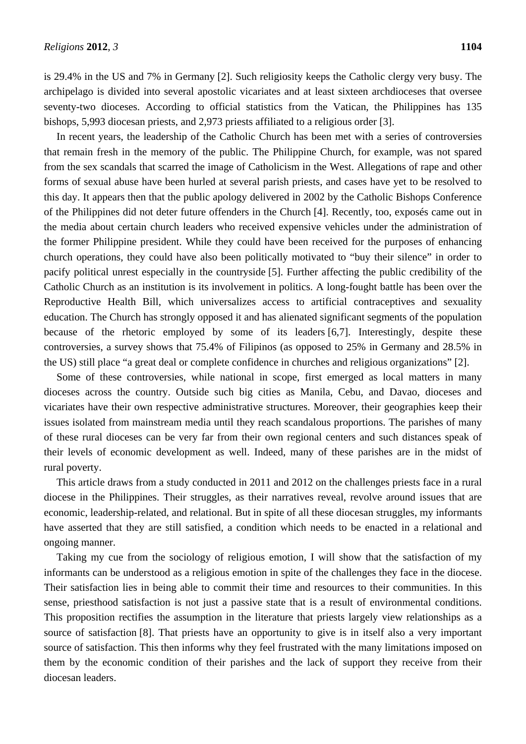is 29.4% in the US and 7% in Germany [2]. Such religiosity keeps the Catholic clergy very busy. The archipelago is divided into several apostolic vicariates and at least sixteen archdioceses that oversee seventy-two dioceses. According to official statistics from the Vatican, the Philippines has 135 bishops, 5,993 diocesan priests, and 2,973 priests affiliated to a religious order [3].

In recent years, the leadership of the Catholic Church has been met with a series of controversies that remain fresh in the memory of the public. The Philippine Church, for example, was not spared from the sex scandals that scarred the image of Catholicism in the West. Allegations of rape and other forms of sexual abuse have been hurled at several parish priests, and cases have yet to be resolved to this day. It appears then that the public apology delivered in 2002 by the Catholic Bishops Conference of the Philippines did not deter future offenders in the Church [4]. Recently, too, exposés came out in the media about certain church leaders who received expensive vehicles under the administration of the former Philippine president. While they could have been received for the purposes of enhancing church operations, they could have also been politically motivated to "buy their silence" in order to pacify political unrest especially in the countryside [5]. Further affecting the public credibility of the Catholic Church as an institution is its involvement in politics. A long-fought battle has been over the Reproductive Health Bill, which universalizes access to artificial contraceptives and sexuality education. The Church has strongly opposed it and has alienated significant segments of the population because of the rhetoric employed by some of its leaders [6,7]. Interestingly, despite these controversies, a survey shows that 75.4% of Filipinos (as opposed to 25% in Germany and 28.5% in the US) still place "a great deal or complete confidence in churches and religious organizations" [2].

Some of these controversies, while national in scope, first emerged as local matters in many dioceses across the country. Outside such big cities as Manila, Cebu, and Davao, dioceses and vicariates have their own respective administrative structures. Moreover, their geographies keep their issues isolated from mainstream media until they reach scandalous proportions. The parishes of many of these rural dioceses can be very far from their own regional centers and such distances speak of their levels of economic development as well. Indeed, many of these parishes are in the midst of rural poverty.

This article draws from a study conducted in 2011 and 2012 on the challenges priests face in a rural diocese in the Philippines. Their struggles, as their narratives reveal, revolve around issues that are economic, leadership-related, and relational. But in spite of all these diocesan struggles, my informants have asserted that they are still satisfied, a condition which needs to be enacted in a relational and ongoing manner.

Taking my cue from the sociology of religious emotion, I will show that the satisfaction of my informants can be understood as a religious emotion in spite of the challenges they face in the diocese. Their satisfaction lies in being able to commit their time and resources to their communities. In this sense, priesthood satisfaction is not just a passive state that is a result of environmental conditions. This proposition rectifies the assumption in the literature that priests largely view relationships as a source of satisfaction [8]. That priests have an opportunity to give is in itself also a very important source of satisfaction. This then informs why they feel frustrated with the many limitations imposed on them by the economic condition of their parishes and the lack of support they receive from their diocesan leaders.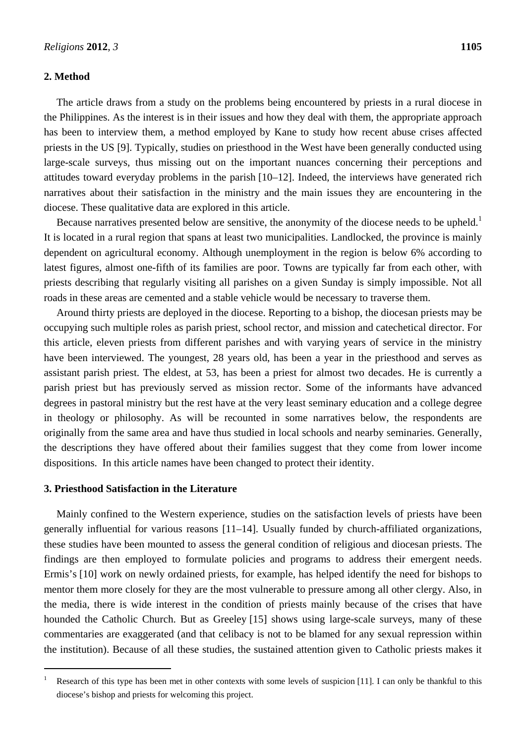## **2. Method**

The article draws from a study on the problems being encountered by priests in a rural diocese in the Philippines. As the interest is in their issues and how they deal with them, the appropriate approach has been to interview them, a method employed by Kane to study how recent abuse crises affected priests in the US [9]. Typically, studies on priesthood in the West have been generally conducted using large-scale surveys, thus missing out on the important nuances concerning their perceptions and attitudes toward everyday problems in the parish [10–12]. Indeed, the interviews have generated rich narratives about their satisfaction in the ministry and the main issues they are encountering in the diocese. These qualitative data are explored in this article.

Because narratives presented below are sensitive, the anonymity of the diocese needs to be upheld.<sup>1</sup> It is located in a rural region that spans at least two municipalities. Landlocked, the province is mainly dependent on agricultural economy. Although unemployment in the region is below 6% according to latest figures, almost one-fifth of its families are poor. Towns are typically far from each other, with priests describing that regularly visiting all parishes on a given Sunday is simply impossible. Not all roads in these areas are cemented and a stable vehicle would be necessary to traverse them.

Around thirty priests are deployed in the diocese. Reporting to a bishop, the diocesan priests may be occupying such multiple roles as parish priest, school rector, and mission and catechetical director. For this article, eleven priests from different parishes and with varying years of service in the ministry have been interviewed. The youngest, 28 years old, has been a year in the priesthood and serves as assistant parish priest. The eldest, at 53, has been a priest for almost two decades. He is currently a parish priest but has previously served as mission rector. Some of the informants have advanced degrees in pastoral ministry but the rest have at the very least seminary education and a college degree in theology or philosophy. As will be recounted in some narratives below, the respondents are originally from the same area and have thus studied in local schools and nearby seminaries. Generally, the descriptions they have offered about their families suggest that they come from lower income dispositions. In this article names have been changed to protect their identity.

# **3. Priesthood Satisfaction in the Literature**

 $\overline{a}$ 

Mainly confined to the Western experience, studies on the satisfaction levels of priests have been generally influential for various reasons [11–14]. Usually funded by church-affiliated organizations, these studies have been mounted to assess the general condition of religious and diocesan priests. The findings are then employed to formulate policies and programs to address their emergent needs. Ermis's [10] work on newly ordained priests, for example, has helped identify the need for bishops to mentor them more closely for they are the most vulnerable to pressure among all other clergy. Also, in the media, there is wide interest in the condition of priests mainly because of the crises that have hounded the Catholic Church. But as Greeley [15] shows using large-scale surveys, many of these commentaries are exaggerated (and that celibacy is not to be blamed for any sexual repression within the institution). Because of all these studies, the sustained attention given to Catholic priests makes it

<sup>1</sup> Research of this type has been met in other contexts with some levels of suspicion [11]. I can only be thankful to this diocese's bishop and priests for welcoming this project.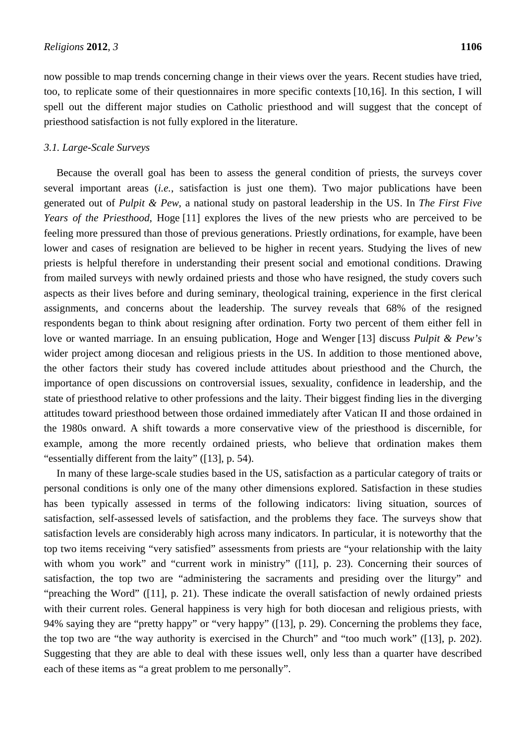now possible to map trends concerning change in their views over the years. Recent studies have tried, too, to replicate some of their questionnaires in more specific contexts [10,16]. In this section, I will spell out the different major studies on Catholic priesthood and will suggest that the concept of priesthood satisfaction is not fully explored in the literature.

## *3.1. Large-Scale Surveys*

Because the overall goal has been to assess the general condition of priests, the surveys cover several important areas (*i.e.*, satisfaction is just one them). Two major publications have been generated out of *Pulpit & Pew*, a national study on pastoral leadership in the US. In *The First Five Years of the Priesthood*, Hoge [11] explores the lives of the new priests who are perceived to be feeling more pressured than those of previous generations. Priestly ordinations, for example, have been lower and cases of resignation are believed to be higher in recent years. Studying the lives of new priests is helpful therefore in understanding their present social and emotional conditions. Drawing from mailed surveys with newly ordained priests and those who have resigned, the study covers such aspects as their lives before and during seminary, theological training, experience in the first clerical assignments, and concerns about the leadership. The survey reveals that 68% of the resigned respondents began to think about resigning after ordination. Forty two percent of them either fell in love or wanted marriage. In an ensuing publication, Hoge and Wenger [13] discuss *Pulpit & Pew's* wider project among diocesan and religious priests in the US. In addition to those mentioned above, the other factors their study has covered include attitudes about priesthood and the Church, the importance of open discussions on controversial issues, sexuality, confidence in leadership, and the state of priesthood relative to other professions and the laity. Their biggest finding lies in the diverging attitudes toward priesthood between those ordained immediately after Vatican II and those ordained in the 1980s onward. A shift towards a more conservative view of the priesthood is discernible, for example, among the more recently ordained priests, who believe that ordination makes them "essentially different from the laity" ([13], p. 54).

In many of these large-scale studies based in the US, satisfaction as a particular category of traits or personal conditions is only one of the many other dimensions explored. Satisfaction in these studies has been typically assessed in terms of the following indicators: living situation, sources of satisfaction, self-assessed levels of satisfaction, and the problems they face. The surveys show that satisfaction levels are considerably high across many indicators. In particular, it is noteworthy that the top two items receiving "very satisfied" assessments from priests are "your relationship with the laity with whom you work" and "current work in ministry" ([11], p. 23). Concerning their sources of satisfaction, the top two are "administering the sacraments and presiding over the liturgy" and "preaching the Word" ([11], p. 21). These indicate the overall satisfaction of newly ordained priests with their current roles. General happiness is very high for both diocesan and religious priests, with 94% saying they are "pretty happy" or "very happy" ([13], p. 29). Concerning the problems they face, the top two are "the way authority is exercised in the Church" and "too much work" ([13], p. 202). Suggesting that they are able to deal with these issues well, only less than a quarter have described each of these items as "a great problem to me personally".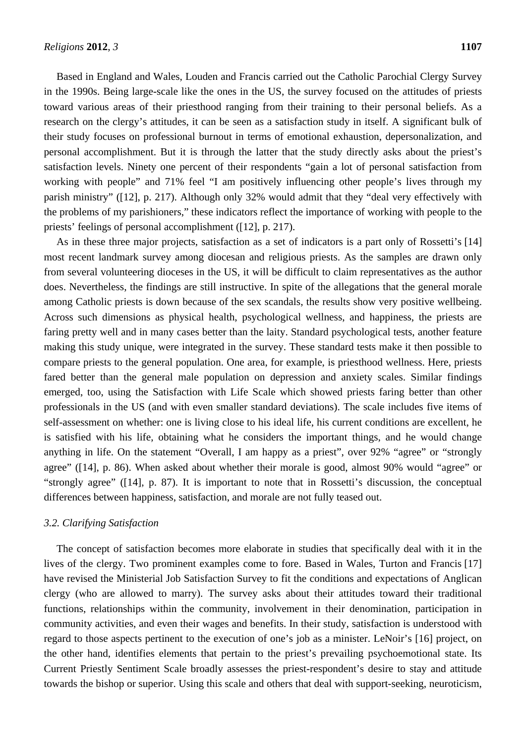Based in England and Wales, Louden and Francis carried out the Catholic Parochial Clergy Survey in the 1990s. Being large-scale like the ones in the US, the survey focused on the attitudes of priests toward various areas of their priesthood ranging from their training to their personal beliefs. As a research on the clergy's attitudes, it can be seen as a satisfaction study in itself. A significant bulk of their study focuses on professional burnout in terms of emotional exhaustion, depersonalization, and personal accomplishment. But it is through the latter that the study directly asks about the priest's satisfaction levels. Ninety one percent of their respondents "gain a lot of personal satisfaction from working with people" and 71% feel "I am positively influencing other people's lives through my parish ministry" ([12], p. 217). Although only 32% would admit that they "deal very effectively with the problems of my parishioners," these indicators reflect the importance of working with people to the priests' feelings of personal accomplishment ([12], p. 217).

As in these three major projects, satisfaction as a set of indicators is a part only of Rossetti's [14] most recent landmark survey among diocesan and religious priests. As the samples are drawn only from several volunteering dioceses in the US, it will be difficult to claim representatives as the author does. Nevertheless, the findings are still instructive. In spite of the allegations that the general morale among Catholic priests is down because of the sex scandals, the results show very positive wellbeing. Across such dimensions as physical health, psychological wellness, and happiness, the priests are faring pretty well and in many cases better than the laity. Standard psychological tests, another feature making this study unique, were integrated in the survey. These standard tests make it then possible to compare priests to the general population. One area, for example, is priesthood wellness. Here, priests fared better than the general male population on depression and anxiety scales. Similar findings emerged, too, using the Satisfaction with Life Scale which showed priests faring better than other professionals in the US (and with even smaller standard deviations). The scale includes five items of self-assessment on whether: one is living close to his ideal life, his current conditions are excellent, he is satisfied with his life, obtaining what he considers the important things, and he would change anything in life. On the statement "Overall, I am happy as a priest", over 92% "agree" or "strongly agree" ([14], p. 86). When asked about whether their morale is good, almost 90% would "agree" or "strongly agree" ([14], p. 87). It is important to note that in Rossetti's discussion, the conceptual differences between happiness, satisfaction, and morale are not fully teased out.

# *3.2. Clarifying Satisfaction*

The concept of satisfaction becomes more elaborate in studies that specifically deal with it in the lives of the clergy. Two prominent examples come to fore. Based in Wales, Turton and Francis [17] have revised the Ministerial Job Satisfaction Survey to fit the conditions and expectations of Anglican clergy (who are allowed to marry). The survey asks about their attitudes toward their traditional functions, relationships within the community, involvement in their denomination, participation in community activities, and even their wages and benefits. In their study, satisfaction is understood with regard to those aspects pertinent to the execution of one's job as a minister. LeNoir's [16] project, on the other hand, identifies elements that pertain to the priest's prevailing psychoemotional state. Its Current Priestly Sentiment Scale broadly assesses the priest-respondent's desire to stay and attitude towards the bishop or superior. Using this scale and others that deal with support-seeking, neuroticism,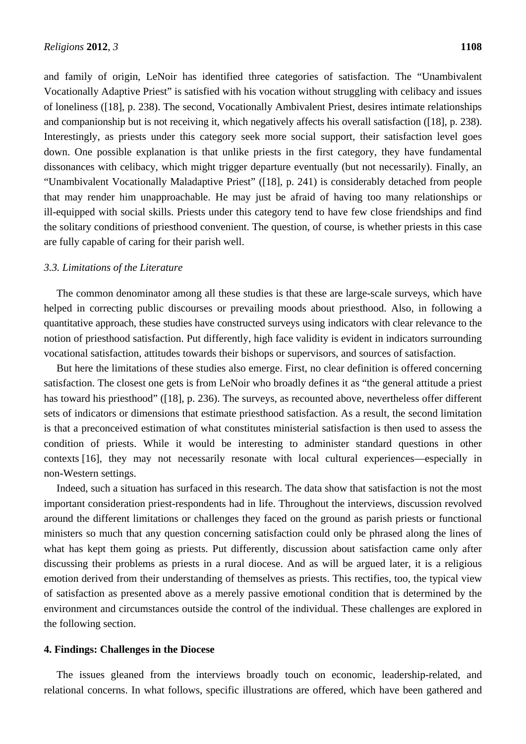and family of origin, LeNoir has identified three categories of satisfaction. The "Unambivalent Vocationally Adaptive Priest" is satisfied with his vocation without struggling with celibacy and issues of loneliness ([18], p. 238). The second, Vocationally Ambivalent Priest, desires intimate relationships and companionship but is not receiving it, which negatively affects his overall satisfaction ([18], p. 238). Interestingly, as priests under this category seek more social support, their satisfaction level goes down. One possible explanation is that unlike priests in the first category, they have fundamental dissonances with celibacy, which might trigger departure eventually (but not necessarily). Finally, an "Unambivalent Vocationally Maladaptive Priest" ([18], p. 241) is considerably detached from people that may render him unapproachable. He may just be afraid of having too many relationships or ill-equipped with social skills. Priests under this category tend to have few close friendships and find the solitary conditions of priesthood convenient. The question, of course, is whether priests in this case are fully capable of caring for their parish well.

#### *3.3. Limitations of the Literature*

The common denominator among all these studies is that these are large-scale surveys, which have helped in correcting public discourses or prevailing moods about priesthood. Also, in following a quantitative approach, these studies have constructed surveys using indicators with clear relevance to the notion of priesthood satisfaction. Put differently, high face validity is evident in indicators surrounding vocational satisfaction, attitudes towards their bishops or supervisors, and sources of satisfaction.

But here the limitations of these studies also emerge. First, no clear definition is offered concerning satisfaction. The closest one gets is from LeNoir who broadly defines it as "the general attitude a priest has toward his priesthood" ([18], p. 236). The surveys, as recounted above, nevertheless offer different sets of indicators or dimensions that estimate priesthood satisfaction. As a result, the second limitation is that a preconceived estimation of what constitutes ministerial satisfaction is then used to assess the condition of priests. While it would be interesting to administer standard questions in other contexts [16], they may not necessarily resonate with local cultural experiences—especially in non-Western settings.

Indeed, such a situation has surfaced in this research. The data show that satisfaction is not the most important consideration priest-respondents had in life. Throughout the interviews, discussion revolved around the different limitations or challenges they faced on the ground as parish priests or functional ministers so much that any question concerning satisfaction could only be phrased along the lines of what has kept them going as priests. Put differently, discussion about satisfaction came only after discussing their problems as priests in a rural diocese. And as will be argued later, it is a religious emotion derived from their understanding of themselves as priests. This rectifies, too, the typical view of satisfaction as presented above as a merely passive emotional condition that is determined by the environment and circumstances outside the control of the individual. These challenges are explored in the following section.

#### **4. Findings: Challenges in the Diocese**

The issues gleaned from the interviews broadly touch on economic, leadership-related, and relational concerns. In what follows, specific illustrations are offered, which have been gathered and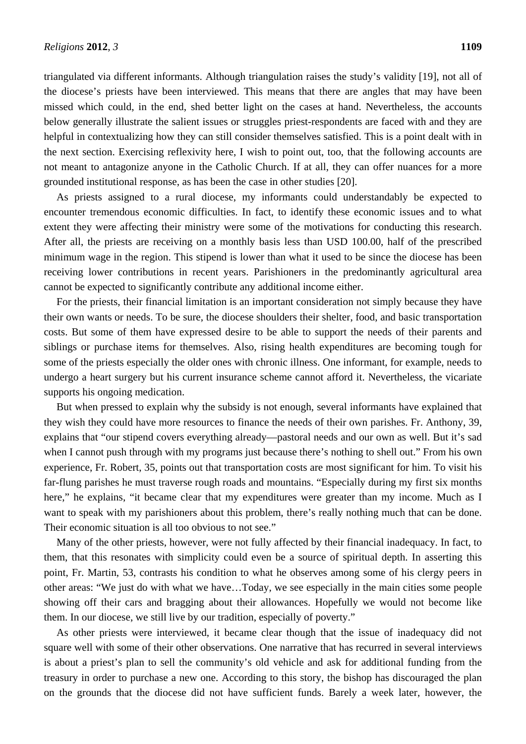triangulated via different informants. Although triangulation raises the study's validity [19], not all of the diocese's priests have been interviewed. This means that there are angles that may have been missed which could, in the end, shed better light on the cases at hand. Nevertheless, the accounts below generally illustrate the salient issues or struggles priest-respondents are faced with and they are helpful in contextualizing how they can still consider themselves satisfied. This is a point dealt with in the next section. Exercising reflexivity here, I wish to point out, too, that the following accounts are not meant to antagonize anyone in the Catholic Church. If at all, they can offer nuances for a more grounded institutional response, as has been the case in other studies [20].

As priests assigned to a rural diocese, my informants could understandably be expected to encounter tremendous economic difficulties. In fact, to identify these economic issues and to what extent they were affecting their ministry were some of the motivations for conducting this research. After all, the priests are receiving on a monthly basis less than USD 100.00, half of the prescribed minimum wage in the region. This stipend is lower than what it used to be since the diocese has been receiving lower contributions in recent years. Parishioners in the predominantly agricultural area cannot be expected to significantly contribute any additional income either.

For the priests, their financial limitation is an important consideration not simply because they have their own wants or needs. To be sure, the diocese shoulders their shelter, food, and basic transportation costs. But some of them have expressed desire to be able to support the needs of their parents and siblings or purchase items for themselves. Also, rising health expenditures are becoming tough for some of the priests especially the older ones with chronic illness. One informant, for example, needs to undergo a heart surgery but his current insurance scheme cannot afford it. Nevertheless, the vicariate supports his ongoing medication.

But when pressed to explain why the subsidy is not enough, several informants have explained that they wish they could have more resources to finance the needs of their own parishes. Fr. Anthony, 39, explains that "our stipend covers everything already—pastoral needs and our own as well. But it's sad when I cannot push through with my programs just because there's nothing to shell out." From his own experience, Fr. Robert, 35, points out that transportation costs are most significant for him. To visit his far-flung parishes he must traverse rough roads and mountains. "Especially during my first six months here," he explains, "it became clear that my expenditures were greater than my income. Much as I want to speak with my parishioners about this problem, there's really nothing much that can be done. Their economic situation is all too obvious to not see."

Many of the other priests, however, were not fully affected by their financial inadequacy. In fact, to them, that this resonates with simplicity could even be a source of spiritual depth. In asserting this point, Fr. Martin, 53, contrasts his condition to what he observes among some of his clergy peers in other areas: "We just do with what we have…Today, we see especially in the main cities some people showing off their cars and bragging about their allowances. Hopefully we would not become like them. In our diocese, we still live by our tradition, especially of poverty."

As other priests were interviewed, it became clear though that the issue of inadequacy did not square well with some of their other observations. One narrative that has recurred in several interviews is about a priest's plan to sell the community's old vehicle and ask for additional funding from the treasury in order to purchase a new one. According to this story, the bishop has discouraged the plan on the grounds that the diocese did not have sufficient funds. Barely a week later, however, the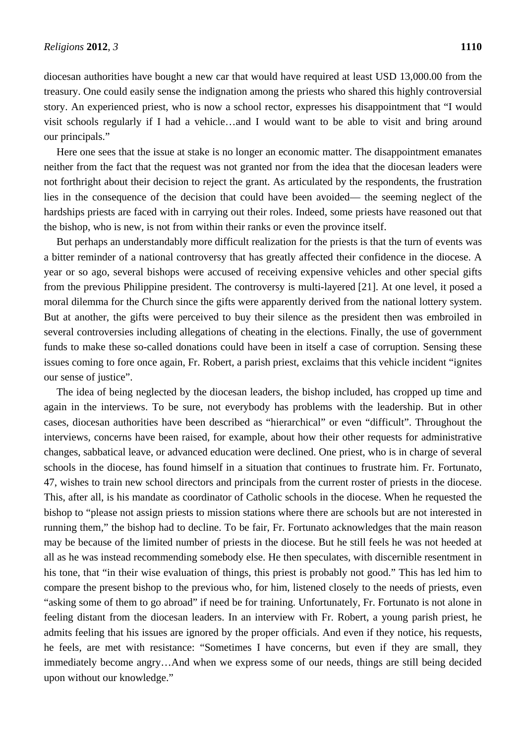diocesan authorities have bought a new car that would have required at least USD 13,000.00 from the treasury. One could easily sense the indignation among the priests who shared this highly controversial story. An experienced priest, who is now a school rector, expresses his disappointment that "I would visit schools regularly if I had a vehicle…and I would want to be able to visit and bring around our principals."

Here one sees that the issue at stake is no longer an economic matter. The disappointment emanates neither from the fact that the request was not granted nor from the idea that the diocesan leaders were not forthright about their decision to reject the grant. As articulated by the respondents, the frustration lies in the consequence of the decision that could have been avoided— the seeming neglect of the hardships priests are faced with in carrying out their roles. Indeed, some priests have reasoned out that the bishop, who is new, is not from within their ranks or even the province itself.

But perhaps an understandably more difficult realization for the priests is that the turn of events was a bitter reminder of a national controversy that has greatly affected their confidence in the diocese. A year or so ago, several bishops were accused of receiving expensive vehicles and other special gifts from the previous Philippine president. The controversy is multi-layered [21]. At one level, it posed a moral dilemma for the Church since the gifts were apparently derived from the national lottery system. But at another, the gifts were perceived to buy their silence as the president then was embroiled in several controversies including allegations of cheating in the elections. Finally, the use of government funds to make these so-called donations could have been in itself a case of corruption. Sensing these issues coming to fore once again, Fr. Robert, a parish priest, exclaims that this vehicle incident "ignites our sense of justice".

The idea of being neglected by the diocesan leaders, the bishop included, has cropped up time and again in the interviews. To be sure, not everybody has problems with the leadership. But in other cases, diocesan authorities have been described as "hierarchical" or even "difficult". Throughout the interviews, concerns have been raised, for example, about how their other requests for administrative changes, sabbatical leave, or advanced education were declined. One priest, who is in charge of several schools in the diocese, has found himself in a situation that continues to frustrate him. Fr. Fortunato, 47, wishes to train new school directors and principals from the current roster of priests in the diocese. This, after all, is his mandate as coordinator of Catholic schools in the diocese. When he requested the bishop to "please not assign priests to mission stations where there are schools but are not interested in running them," the bishop had to decline. To be fair, Fr. Fortunato acknowledges that the main reason may be because of the limited number of priests in the diocese. But he still feels he was not heeded at all as he was instead recommending somebody else. He then speculates, with discernible resentment in his tone, that "in their wise evaluation of things, this priest is probably not good." This has led him to compare the present bishop to the previous who, for him, listened closely to the needs of priests, even "asking some of them to go abroad" if need be for training. Unfortunately, Fr. Fortunato is not alone in feeling distant from the diocesan leaders. In an interview with Fr. Robert, a young parish priest, he admits feeling that his issues are ignored by the proper officials. And even if they notice, his requests, he feels, are met with resistance: "Sometimes I have concerns, but even if they are small, they immediately become angry…And when we express some of our needs, things are still being decided upon without our knowledge."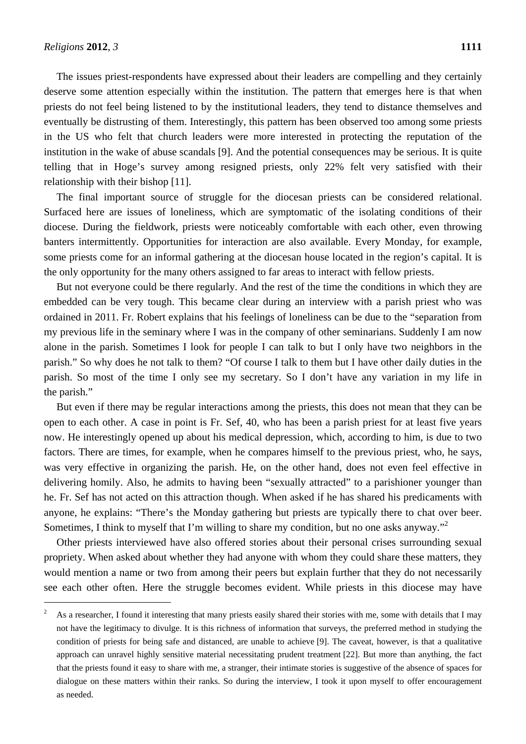$\overline{a}$ 

The issues priest-respondents have expressed about their leaders are compelling and they certainly deserve some attention especially within the institution. The pattern that emerges here is that when priests do not feel being listened to by the institutional leaders, they tend to distance themselves and eventually be distrusting of them. Interestingly, this pattern has been observed too among some priests in the US who felt that church leaders were more interested in protecting the reputation of the institution in the wake of abuse scandals [9]. And the potential consequences may be serious. It is quite telling that in Hoge's survey among resigned priests, only 22% felt very satisfied with their relationship with their bishop [11].

The final important source of struggle for the diocesan priests can be considered relational. Surfaced here are issues of loneliness, which are symptomatic of the isolating conditions of their diocese. During the fieldwork, priests were noticeably comfortable with each other, even throwing banters intermittently. Opportunities for interaction are also available. Every Monday, for example, some priests come for an informal gathering at the diocesan house located in the region's capital. It is the only opportunity for the many others assigned to far areas to interact with fellow priests.

But not everyone could be there regularly. And the rest of the time the conditions in which they are embedded can be very tough. This became clear during an interview with a parish priest who was ordained in 2011. Fr. Robert explains that his feelings of loneliness can be due to the "separation from my previous life in the seminary where I was in the company of other seminarians. Suddenly I am now alone in the parish. Sometimes I look for people I can talk to but I only have two neighbors in the parish." So why does he not talk to them? "Of course I talk to them but I have other daily duties in the parish. So most of the time I only see my secretary. So I don't have any variation in my life in the parish."

But even if there may be regular interactions among the priests, this does not mean that they can be open to each other. A case in point is Fr. Sef, 40, who has been a parish priest for at least five years now. He interestingly opened up about his medical depression, which, according to him, is due to two factors. There are times, for example, when he compares himself to the previous priest, who, he says, was very effective in organizing the parish. He, on the other hand, does not even feel effective in delivering homily. Also, he admits to having been "sexually attracted" to a parishioner younger than he. Fr. Sef has not acted on this attraction though. When asked if he has shared his predicaments with anyone, he explains: "There's the Monday gathering but priests are typically there to chat over beer. Sometimes, I think to myself that I'm willing to share my condition, but no one asks anyway."<sup>2</sup>

Other priests interviewed have also offered stories about their personal crises surrounding sexual propriety. When asked about whether they had anyone with whom they could share these matters, they would mention a name or two from among their peers but explain further that they do not necessarily see each other often. Here the struggle becomes evident. While priests in this diocese may have

<sup>2</sup> As a researcher, I found it interesting that many priests easily shared their stories with me, some with details that I may not have the legitimacy to divulge. It is this richness of information that surveys, the preferred method in studying the condition of priests for being safe and distanced, are unable to achieve [9]. The caveat, however, is that a qualitative approach can unravel highly sensitive material necessitating prudent treatment [22]. But more than anything, the fact that the priests found it easy to share with me, a stranger, their intimate stories is suggestive of the absence of spaces for dialogue on these matters within their ranks. So during the interview, I took it upon myself to offer encouragement as needed.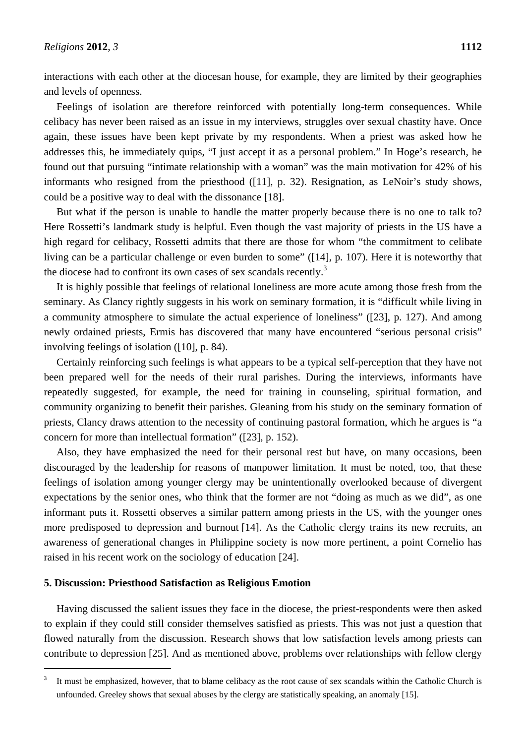interactions with each other at the diocesan house, for example, they are limited by their geographies and levels of openness.

Feelings of isolation are therefore reinforced with potentially long-term consequences. While celibacy has never been raised as an issue in my interviews, struggles over sexual chastity have. Once again, these issues have been kept private by my respondents. When a priest was asked how he addresses this, he immediately quips, "I just accept it as a personal problem." In Hoge's research, he found out that pursuing "intimate relationship with a woman" was the main motivation for 42% of his informants who resigned from the priesthood ([11], p. 32). Resignation, as LeNoir's study shows, could be a positive way to deal with the dissonance [18].

But what if the person is unable to handle the matter properly because there is no one to talk to? Here Rossetti's landmark study is helpful. Even though the vast majority of priests in the US have a high regard for celibacy, Rossetti admits that there are those for whom "the commitment to celibate living can be a particular challenge or even burden to some" ([14], p. 107). Here it is noteworthy that the diocese had to confront its own cases of sex scandals recently.<sup>3</sup>

It is highly possible that feelings of relational loneliness are more acute among those fresh from the seminary. As Clancy rightly suggests in his work on seminary formation, it is "difficult while living in a community atmosphere to simulate the actual experience of loneliness" ([23], p. 127). And among newly ordained priests, Ermis has discovered that many have encountered "serious personal crisis" involving feelings of isolation ([10], p. 84).

Certainly reinforcing such feelings is what appears to be a typical self-perception that they have not been prepared well for the needs of their rural parishes. During the interviews, informants have repeatedly suggested, for example, the need for training in counseling, spiritual formation, and community organizing to benefit their parishes. Gleaning from his study on the seminary formation of priests, Clancy draws attention to the necessity of continuing pastoral formation, which he argues is "a concern for more than intellectual formation" ([23], p. 152).

Also, they have emphasized the need for their personal rest but have, on many occasions, been discouraged by the leadership for reasons of manpower limitation. It must be noted, too, that these feelings of isolation among younger clergy may be unintentionally overlooked because of divergent expectations by the senior ones, who think that the former are not "doing as much as we did", as one informant puts it. Rossetti observes a similar pattern among priests in the US, with the younger ones more predisposed to depression and burnout [14]. As the Catholic clergy trains its new recruits, an awareness of generational changes in Philippine society is now more pertinent, a point Cornelio has raised in his recent work on the sociology of education [24].

#### **5. Discussion: Priesthood Satisfaction as Religious Emotion**

 $\overline{a}$ 

Having discussed the salient issues they face in the diocese, the priest-respondents were then asked to explain if they could still consider themselves satisfied as priests. This was not just a question that flowed naturally from the discussion. Research shows that low satisfaction levels among priests can contribute to depression [25]. And as mentioned above, problems over relationships with fellow clergy

<sup>3</sup> It must be emphasized, however, that to blame celibacy as the root cause of sex scandals within the Catholic Church is unfounded. Greeley shows that sexual abuses by the clergy are statistically speaking, an anomaly [15].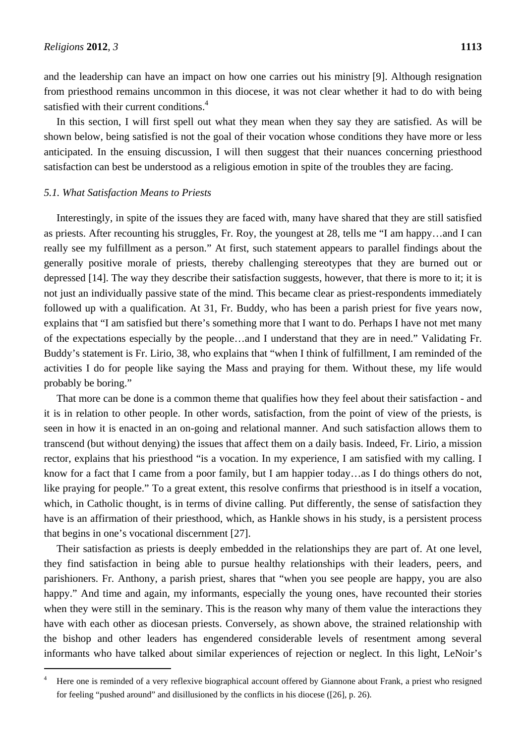$\overline{a}$ 

and the leadership can have an impact on how one carries out his ministry [9]. Although resignation from priesthood remains uncommon in this diocese, it was not clear whether it had to do with being satisfied with their current conditions.<sup>4</sup>

In this section, I will first spell out what they mean when they say they are satisfied. As will be shown below, being satisfied is not the goal of their vocation whose conditions they have more or less anticipated. In the ensuing discussion, I will then suggest that their nuances concerning priesthood satisfaction can best be understood as a religious emotion in spite of the troubles they are facing.

## *5.1. What Satisfaction Means to Priests*

Interestingly, in spite of the issues they are faced with, many have shared that they are still satisfied as priests. After recounting his struggles, Fr. Roy, the youngest at 28, tells me "I am happy…and I can really see my fulfillment as a person." At first, such statement appears to parallel findings about the generally positive morale of priests, thereby challenging stereotypes that they are burned out or depressed [14]. The way they describe their satisfaction suggests, however, that there is more to it; it is not just an individually passive state of the mind. This became clear as priest-respondents immediately followed up with a qualification. At 31, Fr. Buddy, who has been a parish priest for five years now, explains that "I am satisfied but there's something more that I want to do. Perhaps I have not met many of the expectations especially by the people…and I understand that they are in need." Validating Fr. Buddy's statement is Fr. Lirio, 38, who explains that "when I think of fulfillment, I am reminded of the activities I do for people like saying the Mass and praying for them. Without these, my life would probably be boring."

That more can be done is a common theme that qualifies how they feel about their satisfaction - and it is in relation to other people. In other words, satisfaction, from the point of view of the priests, is seen in how it is enacted in an on-going and relational manner. And such satisfaction allows them to transcend (but without denying) the issues that affect them on a daily basis. Indeed, Fr. Lirio, a mission rector, explains that his priesthood "is a vocation. In my experience, I am satisfied with my calling. I know for a fact that I came from a poor family, but I am happier today…as I do things others do not, like praying for people." To a great extent, this resolve confirms that priesthood is in itself a vocation, which, in Catholic thought, is in terms of divine calling. Put differently, the sense of satisfaction they have is an affirmation of their priesthood, which, as Hankle shows in his study, is a persistent process that begins in one's vocational discernment [27].

Their satisfaction as priests is deeply embedded in the relationships they are part of. At one level, they find satisfaction in being able to pursue healthy relationships with their leaders, peers, and parishioners. Fr. Anthony, a parish priest, shares that "when you see people are happy, you are also happy." And time and again, my informants, especially the young ones, have recounted their stories when they were still in the seminary. This is the reason why many of them value the interactions they have with each other as diocesan priests. Conversely, as shown above, the strained relationship with the bishop and other leaders has engendered considerable levels of resentment among several informants who have talked about similar experiences of rejection or neglect. In this light, LeNoir's

<sup>4</sup> Here one is reminded of a very reflexive biographical account offered by Giannone about Frank, a priest who resigned for feeling "pushed around" and disillusioned by the conflicts in his diocese ([26], p. 26).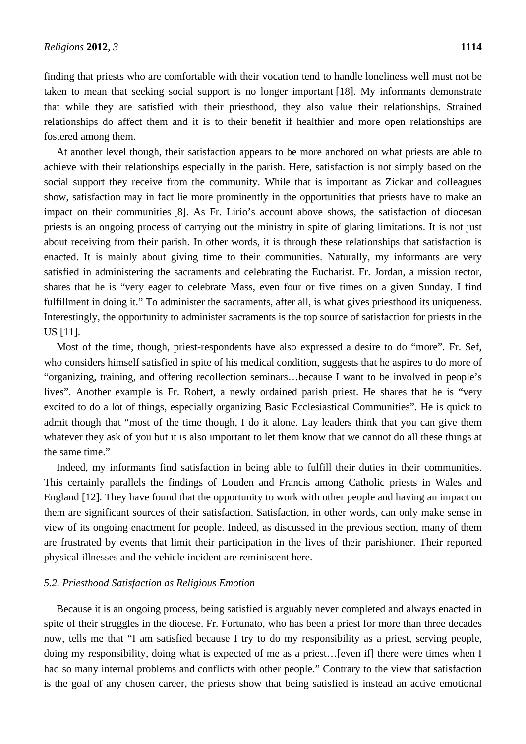finding that priests who are comfortable with their vocation tend to handle loneliness well must not be taken to mean that seeking social support is no longer important [18]. My informants demonstrate that while they are satisfied with their priesthood, they also value their relationships. Strained relationships do affect them and it is to their benefit if healthier and more open relationships are fostered among them.

At another level though, their satisfaction appears to be more anchored on what priests are able to achieve with their relationships especially in the parish. Here, satisfaction is not simply based on the social support they receive from the community. While that is important as Zickar and colleagues show, satisfaction may in fact lie more prominently in the opportunities that priests have to make an impact on their communities [8]. As Fr. Lirio's account above shows, the satisfaction of diocesan priests is an ongoing process of carrying out the ministry in spite of glaring limitations. It is not just about receiving from their parish. In other words, it is through these relationships that satisfaction is enacted. It is mainly about giving time to their communities. Naturally, my informants are very satisfied in administering the sacraments and celebrating the Eucharist. Fr. Jordan, a mission rector, shares that he is "very eager to celebrate Mass, even four or five times on a given Sunday. I find fulfillment in doing it." To administer the sacraments, after all, is what gives priesthood its uniqueness. Interestingly, the opportunity to administer sacraments is the top source of satisfaction for priests in the US [11].

Most of the time, though, priest-respondents have also expressed a desire to do "more". Fr. Sef, who considers himself satisfied in spite of his medical condition, suggests that he aspires to do more of "organizing, training, and offering recollection seminars…because I want to be involved in people's lives". Another example is Fr. Robert, a newly ordained parish priest. He shares that he is "very excited to do a lot of things, especially organizing Basic Ecclesiastical Communities". He is quick to admit though that "most of the time though, I do it alone. Lay leaders think that you can give them whatever they ask of you but it is also important to let them know that we cannot do all these things at the same time."

Indeed, my informants find satisfaction in being able to fulfill their duties in their communities. This certainly parallels the findings of Louden and Francis among Catholic priests in Wales and England [12]. They have found that the opportunity to work with other people and having an impact on them are significant sources of their satisfaction. Satisfaction, in other words, can only make sense in view of its ongoing enactment for people. Indeed, as discussed in the previous section, many of them are frustrated by events that limit their participation in the lives of their parishioner. Their reported physical illnesses and the vehicle incident are reminiscent here.

#### *5.2. Priesthood Satisfaction as Religious Emotion*

Because it is an ongoing process, being satisfied is arguably never completed and always enacted in spite of their struggles in the diocese. Fr. Fortunato, who has been a priest for more than three decades now, tells me that "I am satisfied because I try to do my responsibility as a priest, serving people, doing my responsibility, doing what is expected of me as a priest…[even if] there were times when I had so many internal problems and conflicts with other people." Contrary to the view that satisfaction is the goal of any chosen career, the priests show that being satisfied is instead an active emotional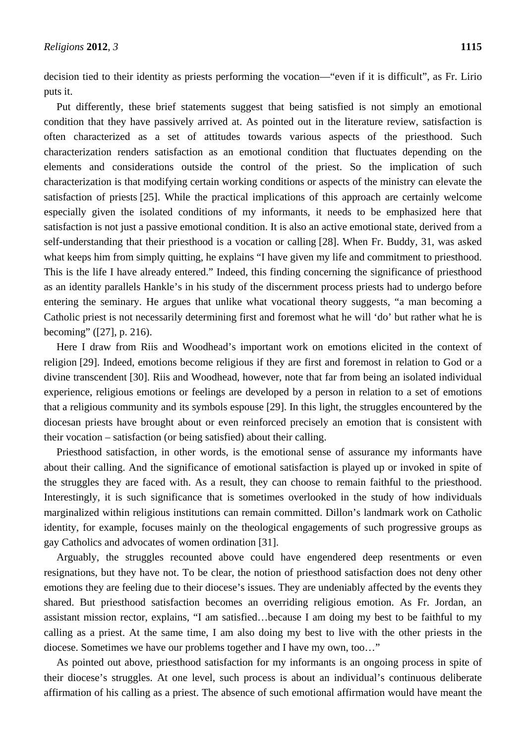decision tied to their identity as priests performing the vocation—"even if it is difficult", as Fr. Lirio puts it.

Put differently, these brief statements suggest that being satisfied is not simply an emotional condition that they have passively arrived at. As pointed out in the literature review, satisfaction is often characterized as a set of attitudes towards various aspects of the priesthood. Such characterization renders satisfaction as an emotional condition that fluctuates depending on the elements and considerations outside the control of the priest. So the implication of such characterization is that modifying certain working conditions or aspects of the ministry can elevate the satisfaction of priests [25]. While the practical implications of this approach are certainly welcome especially given the isolated conditions of my informants, it needs to be emphasized here that satisfaction is not just a passive emotional condition. It is also an active emotional state, derived from a self-understanding that their priesthood is a vocation or calling [28]. When Fr. Buddy, 31, was asked what keeps him from simply quitting, he explains "I have given my life and commitment to priesthood. This is the life I have already entered." Indeed, this finding concerning the significance of priesthood as an identity parallels Hankle's in his study of the discernment process priests had to undergo before entering the seminary. He argues that unlike what vocational theory suggests, "a man becoming a Catholic priest is not necessarily determining first and foremost what he will 'do' but rather what he is becoming" ([27], p. 216).

Here I draw from Riis and Woodhead's important work on emotions elicited in the context of religion [29]. Indeed, emotions become religious if they are first and foremost in relation to God or a divine transcendent [30]. Riis and Woodhead, however, note that far from being an isolated individual experience, religious emotions or feelings are developed by a person in relation to a set of emotions that a religious community and its symbols espouse [29]. In this light, the struggles encountered by the diocesan priests have brought about or even reinforced precisely an emotion that is consistent with their vocation – satisfaction (or being satisfied) about their calling.

Priesthood satisfaction, in other words, is the emotional sense of assurance my informants have about their calling. And the significance of emotional satisfaction is played up or invoked in spite of the struggles they are faced with. As a result, they can choose to remain faithful to the priesthood. Interestingly, it is such significance that is sometimes overlooked in the study of how individuals marginalized within religious institutions can remain committed. Dillon's landmark work on Catholic identity, for example, focuses mainly on the theological engagements of such progressive groups as gay Catholics and advocates of women ordination [31].

Arguably, the struggles recounted above could have engendered deep resentments or even resignations, but they have not. To be clear, the notion of priesthood satisfaction does not deny other emotions they are feeling due to their diocese's issues. They are undeniably affected by the events they shared. But priesthood satisfaction becomes an overriding religious emotion. As Fr. Jordan, an assistant mission rector, explains, "I am satisfied…because I am doing my best to be faithful to my calling as a priest. At the same time, I am also doing my best to live with the other priests in the diocese. Sometimes we have our problems together and I have my own, too…"

As pointed out above, priesthood satisfaction for my informants is an ongoing process in spite of their diocese's struggles. At one level, such process is about an individual's continuous deliberate affirmation of his calling as a priest. The absence of such emotional affirmation would have meant the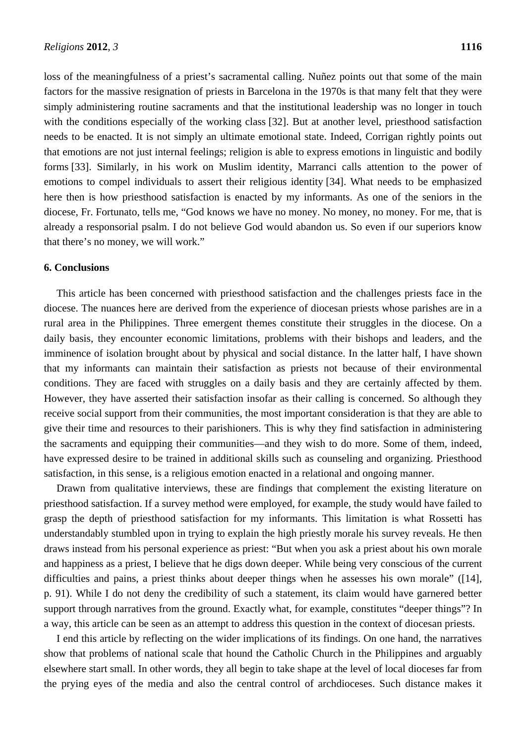loss of the meaningfulness of a priest's sacramental calling. Nuñez points out that some of the main factors for the massive resignation of priests in Barcelona in the 1970s is that many felt that they were simply administering routine sacraments and that the institutional leadership was no longer in touch with the conditions especially of the working class [32]. But at another level, priesthood satisfaction needs to be enacted. It is not simply an ultimate emotional state. Indeed, Corrigan rightly points out that emotions are not just internal feelings; religion is able to express emotions in linguistic and bodily forms [33]. Similarly, in his work on Muslim identity, Marranci calls attention to the power of emotions to compel individuals to assert their religious identity [34]. What needs to be emphasized here then is how priesthood satisfaction is enacted by my informants. As one of the seniors in the diocese, Fr. Fortunato, tells me, "God knows we have no money. No money, no money. For me, that is already a responsorial psalm. I do not believe God would abandon us. So even if our superiors know that there's no money, we will work."

#### **6. Conclusions**

This article has been concerned with priesthood satisfaction and the challenges priests face in the diocese. The nuances here are derived from the experience of diocesan priests whose parishes are in a rural area in the Philippines. Three emergent themes constitute their struggles in the diocese. On a daily basis, they encounter economic limitations, problems with their bishops and leaders, and the imminence of isolation brought about by physical and social distance. In the latter half, I have shown that my informants can maintain their satisfaction as priests not because of their environmental conditions. They are faced with struggles on a daily basis and they are certainly affected by them. However, they have asserted their satisfaction insofar as their calling is concerned. So although they receive social support from their communities, the most important consideration is that they are able to give their time and resources to their parishioners. This is why they find satisfaction in administering the sacraments and equipping their communities—and they wish to do more. Some of them, indeed, have expressed desire to be trained in additional skills such as counseling and organizing. Priesthood satisfaction, in this sense, is a religious emotion enacted in a relational and ongoing manner.

Drawn from qualitative interviews, these are findings that complement the existing literature on priesthood satisfaction. If a survey method were employed, for example, the study would have failed to grasp the depth of priesthood satisfaction for my informants. This limitation is what Rossetti has understandably stumbled upon in trying to explain the high priestly morale his survey reveals. He then draws instead from his personal experience as priest: "But when you ask a priest about his own morale and happiness as a priest, I believe that he digs down deeper. While being very conscious of the current difficulties and pains, a priest thinks about deeper things when he assesses his own morale" ([14], p. 91). While I do not deny the credibility of such a statement, its claim would have garnered better support through narratives from the ground. Exactly what, for example, constitutes "deeper things"? In a way, this article can be seen as an attempt to address this question in the context of diocesan priests.

I end this article by reflecting on the wider implications of its findings. On one hand, the narratives show that problems of national scale that hound the Catholic Church in the Philippines and arguably elsewhere start small. In other words, they all begin to take shape at the level of local dioceses far from the prying eyes of the media and also the central control of archdioceses. Such distance makes it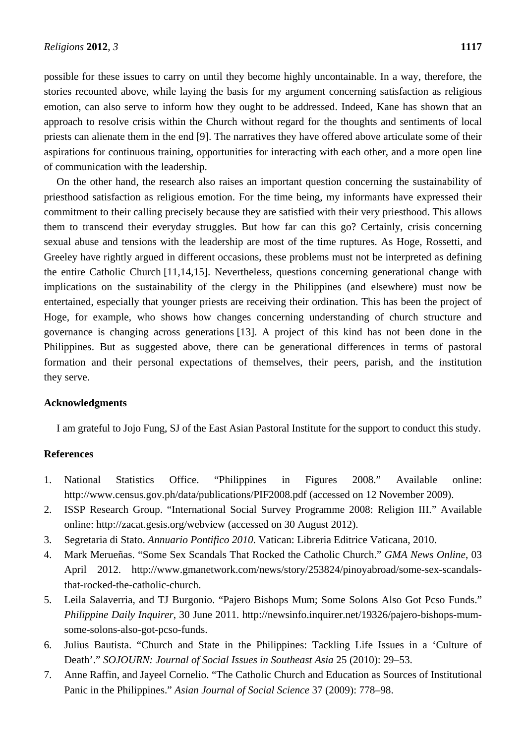possible for these issues to carry on until they become highly uncontainable. In a way, therefore, the stories recounted above, while laying the basis for my argument concerning satisfaction as religious emotion, can also serve to inform how they ought to be addressed. Indeed, Kane has shown that an approach to resolve crisis within the Church without regard for the thoughts and sentiments of local priests can alienate them in the end [9]. The narratives they have offered above articulate some of their aspirations for continuous training, opportunities for interacting with each other, and a more open line of communication with the leadership.

On the other hand, the research also raises an important question concerning the sustainability of priesthood satisfaction as religious emotion. For the time being, my informants have expressed their commitment to their calling precisely because they are satisfied with their very priesthood. This allows them to transcend their everyday struggles. But how far can this go? Certainly, crisis concerning sexual abuse and tensions with the leadership are most of the time ruptures. As Hoge, Rossetti, and Greeley have rightly argued in different occasions, these problems must not be interpreted as defining the entire Catholic Church [11,14,15]. Nevertheless, questions concerning generational change with implications on the sustainability of the clergy in the Philippines (and elsewhere) must now be entertained, especially that younger priests are receiving their ordination. This has been the project of Hoge, for example, who shows how changes concerning understanding of church structure and governance is changing across generations [13]. A project of this kind has not been done in the Philippines. But as suggested above, there can be generational differences in terms of pastoral formation and their personal expectations of themselves, their peers, parish, and the institution they serve.

# **Acknowledgments**

I am grateful to Jojo Fung, SJ of the East Asian Pastoral Institute for the support to conduct this study.

## **References**

- 1. National Statistics Office. "Philippines in Figures 2008." Available online: http://www.census.gov.ph/data/publications/PIF2008.pdf (accessed on 12 November 2009).
- 2. ISSP Research Group. "International Social Survey Programme 2008: Religion III." Available online: http://zacat.gesis.org/webview (accessed on 30 August 2012).
- 3. Segretaria di Stato. *Annuario Pontifico 2010*. Vatican: Libreria Editrice Vaticana, 2010.
- 4. Mark Merueñas. "Some Sex Scandals That Rocked the Catholic Church." *GMA News Online*, 03 April 2012. http://www.gmanetwork.com/news/story/253824/pinoyabroad/some-sex-scandalsthat-rocked-the-catholic-church.
- 5. Leila Salaverria, and TJ Burgonio. "Pajero Bishops Mum; Some Solons Also Got Pcso Funds." *Philippine Daily Inquirer*, 30 June 2011. http://newsinfo.inquirer.net/19326/pajero-bishops-mumsome-solons-also-got-pcso-funds.
- 6. Julius Bautista. "Church and State in the Philippines: Tackling Life Issues in a 'Culture of Death'." *SOJOURN: Journal of Social Issues in Southeast Asia* 25 (2010): 29–53.
- 7. Anne Raffin, and Jayeel Cornelio. "The Catholic Church and Education as Sources of Institutional Panic in the Philippines." *Asian Journal of Social Science* 37 (2009): 778–98.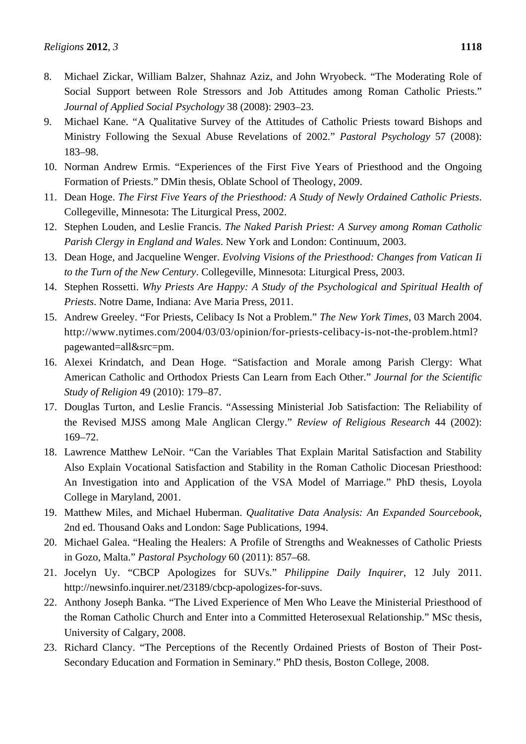- 8. Michael Zickar, William Balzer, Shahnaz Aziz, and John Wryobeck. "The Moderating Role of Social Support between Role Stressors and Job Attitudes among Roman Catholic Priests." *Journal of Applied Social Psychology* 38 (2008): 2903–23.
- 9. Michael Kane. "A Qualitative Survey of the Attitudes of Catholic Priests toward Bishops and Ministry Following the Sexual Abuse Revelations of 2002." *Pastoral Psychology* 57 (2008): 183–98.
- 10. Norman Andrew Ermis. "Experiences of the First Five Years of Priesthood and the Ongoing Formation of Priests." DMin thesis, Oblate School of Theology, 2009.
- 11. Dean Hoge. *The First Five Years of the Priesthood: A Study of Newly Ordained Catholic Priests*. Collegeville, Minnesota: The Liturgical Press, 2002.
- 12. Stephen Louden, and Leslie Francis. *The Naked Parish Priest: A Survey among Roman Catholic Parish Clergy in England and Wales*. New York and London: Continuum, 2003.
- 13. Dean Hoge, and Jacqueline Wenger. *Evolving Visions of the Priesthood: Changes from Vatican Ii to the Turn of the New Century*. Collegeville, Minnesota: Liturgical Press, 2003.
- 14. Stephen Rossetti. *Why Priests Are Happy: A Study of the Psychological and Spiritual Health of Priests*. Notre Dame, Indiana: Ave Maria Press, 2011.
- 15. Andrew Greeley. "For Priests, Celibacy Is Not a Problem." *The New York Times*, 03 March 2004. http://www.nytimes.com/2004/03/03/opinion/for-priests-celibacy-is-not-the-problem.html? pagewanted=all&src=pm.
- 16. Alexei Krindatch, and Dean Hoge. "Satisfaction and Morale among Parish Clergy: What American Catholic and Orthodox Priests Can Learn from Each Other." *Journal for the Scientific Study of Religion* 49 (2010): 179–87.
- 17. Douglas Turton, and Leslie Francis. "Assessing Ministerial Job Satisfaction: The Reliability of the Revised MJSS among Male Anglican Clergy." *Review of Religious Research* 44 (2002): 169–72.
- 18. Lawrence Matthew LeNoir. "Can the Variables That Explain Marital Satisfaction and Stability Also Explain Vocational Satisfaction and Stability in the Roman Catholic Diocesan Priesthood: An Investigation into and Application of the VSA Model of Marriage." PhD thesis, Loyola College in Maryland, 2001.
- 19. Matthew Miles, and Michael Huberman. *Qualitative Data Analysis: An Expanded Sourcebook*, 2nd ed. Thousand Oaks and London: Sage Publications, 1994.
- 20. Michael Galea. "Healing the Healers: A Profile of Strengths and Weaknesses of Catholic Priests in Gozo, Malta." *Pastoral Psychology* 60 (2011): 857–68.
- 21. Jocelyn Uy. "CBCP Apologizes for SUVs." *Philippine Daily Inquirer*, 12 July 2011. http://newsinfo.inquirer.net/23189/cbcp-apologizes-for-suvs.
- 22. Anthony Joseph Banka. "The Lived Experience of Men Who Leave the Ministerial Priesthood of the Roman Catholic Church and Enter into a Committed Heterosexual Relationship." MSc thesis, University of Calgary, 2008.
- 23. Richard Clancy. "The Perceptions of the Recently Ordained Priests of Boston of Their Post-Secondary Education and Formation in Seminary." PhD thesis, Boston College, 2008.